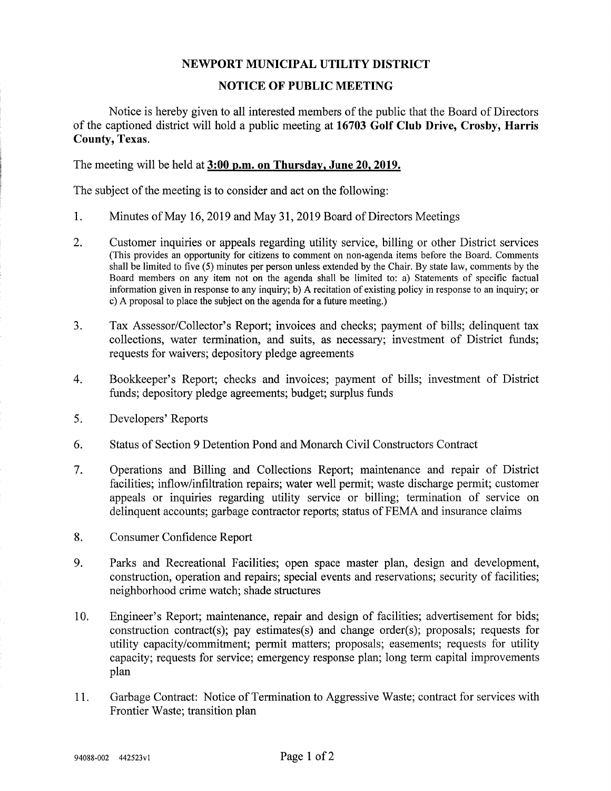## NEWPORT MUNICIPAL UTILITY DISTRICT

## NOTICE OF PUBLIC MEETING

Notice is hereby given to all interested members of the public that the Board of Directors of the captioned district will hold a public meeting at 16703 Golf Club Drive, Crosby, Harris County, Texas.

The meeting will be held at 3:00 p.m. on Thursday, June 20, 2019.

The subject of the meeting is to consider and act on the following:

- 1. Minutes of May 16,2019 and May 31,2019 Board of Directors Meetings
- 2. Customer inquiries or appeals regarding utility service, billing or other District services (This provides an opportunity for citizens to comment on non-agenda items before the Board. Comments shall be limited to five (5) minutes per person unless extended by the Chair. By state law, comments by the Board members on any item not on the agenda shall be limited to: a) Statements of specific factual information given in response to any inquiry; b) A recitation of existing policy in response to an inquiry; or c) A proposal to place the subject on the agenda for a future meeting.)
- 3. Tax Assessor/Collector's Report; invoices and checks; payment of bills; delinquent tax collections, water termination, and suits, as necessary; investment of District funds; requests for waivers; depository pledge agreements
- 4. Bookkeeper's Report; checks and invoices; payment of bills; investment of District funds; depository pledge agreements; budget; surplus funds
- 5. Developers' Reports
- 6. Status of Section 9 Detention Pond and Monarch Civil Constructors Contract
- 7. Operations and Billing and Collections Report; maintenance and repair of District facilities; inflow/infiltration repairs; water well pennit; waste discharge permit; customer appeals or inquiries regarding utility service or billing; termination of service on delinquent accounts; garbage contractor reports; status of FEMA and insurance claims
- 8. Consumer Confidence Report
- 9. Parks and Recreational Facilities; open space master plan, design and development, construction, operation and repairs; special events and reservations; security of facilities; neighborhood crime watch; shade structures
- 10. Engineer's Report; maintenance, repair and design of facilities; advertisement for bids; construction contract(s); pay estimates(s) and change order(s); proposals; requests for utility capacity/commitment; permit matters; proposals; easements; requests for utility capacity; requests for service; emergency response plan; long term capital improvements plan
- 11. Garbage Contract: Notice of Termination to Aggressive Waste; contract for services with Frontier Waste; transition plan